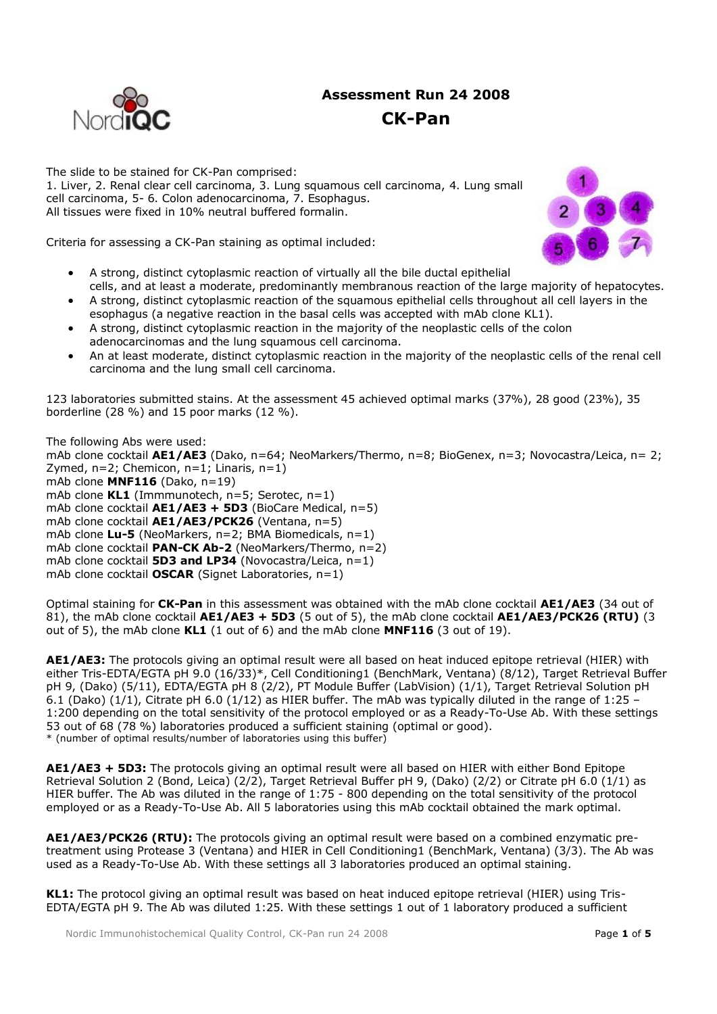# **Assessment Run 24 2008 CK-Pan**



The slide to be stained for CK-Pan comprised: 1. Liver, 2. Renal clear cell carcinoma, 3. Lung squamous cell carcinoma, 4. Lung small cell carcinoma, 5- 6. Colon adenocarcinoma, 7. Esophagus. All tissues were fixed in 10% neutral buffered formalin.





- A strong, distinct cytoplasmic reaction of virtually all the bile ductal epithelial cells, and at least a moderate, predominantly membranous reaction of the large majority of hepatocytes.
- A strong, distinct cytoplasmic reaction of the squamous epithelial cells throughout all cell layers in the esophagus (a negative reaction in the basal cells was accepted with mAb clone KL1).
- A strong, distinct cytoplasmic reaction in the majority of the neoplastic cells of the colon adenocarcinomas and the lung squamous cell carcinoma.
- An at least moderate, distinct cytoplasmic reaction in the majority of the neoplastic cells of the renal cell carcinoma and the lung small cell carcinoma.

123 laboratories submitted stains. At the assessment 45 achieved optimal marks (37%), 28 good (23%), 35 borderline (28 %) and 15 poor marks (12 %).

The following Abs were used: mAb clone cocktail **AE1/AE3** (Dako, n=64; NeoMarkers/Thermo, n=8; BioGenex, n=3; Novocastra/Leica, n= 2; Zymed,  $n=2$ ; Chemicon,  $n=1$ ; Linaris,  $n=1$ ) mAb clone **MNF116** (Dako, n=19) mAb clone **KL1** (Immmunotech, n=5; Serotec, n=1) mAb clone cocktail **AE1/AE3 + 5D3** (BioCare Medical, n=5) mAb clone cocktail **AE1/AE3/PCK26** (Ventana, n=5) mAb clone **Lu-5** (NeoMarkers, n=2; BMA Biomedicals, n=1) mAb clone cocktail **PAN-CK Ab-2** (NeoMarkers/Thermo, n=2) mAb clone cocktail **5D3 and LP34** (Novocastra/Leica, n=1) mAb clone cocktail **OSCAR** (Signet Laboratories, n=1)

Optimal staining for **CK-Pan** in this assessment was obtained with the mAb clone cocktail **AE1/AE3** (34 out of 81), the mAb clone cocktail **AE1/AE3 + 5D3** (5 out of 5), the mAb clone cocktail **AE1/AE3/PCK26 (RTU)** (3 out of 5), the mAb clone **KL1** (1 out of 6) and the mAb clone **MNF116** (3 out of 19).

**AE1/AE3:** The protocols giving an optimal result were all based on heat induced epitope retrieval (HIER) with either Tris-EDTA/EGTA pH 9.0 (16/33)\*, Cell Conditioning1 (BenchMark, Ventana) (8/12), Target Retrieval Buffer pH 9, (Dako) (5/11), EDTA/EGTA pH 8 (2/2), PT Module Buffer (LabVision) (1/1), Target Retrieval Solution pH 6.1 (Dako) (1/1), Citrate pH 6.0 (1/12) as HIER buffer. The mAb was typically diluted in the range of 1:25 – 1:200 depending on the total sensitivity of the protocol employed or as a Ready-To-Use Ab. With these settings 53 out of 68 (78 %) laboratories produced a sufficient staining (optimal or good). \* (number of optimal results/number of laboratories using this buffer)

**AE1/AE3 + 5D3:** The protocols giving an optimal result were all based on HIER with either Bond Epitope Retrieval Solution 2 (Bond, Leica) (2/2), Target Retrieval Buffer pH 9, (Dako) (2/2) or Citrate pH 6.0 (1/1) as HIER buffer. The Ab was diluted in the range of 1:75 - 800 depending on the total sensitivity of the protocol employed or as a Ready-To-Use Ab. All 5 laboratories using this mAb cocktail obtained the mark optimal.

**AE1/AE3/PCK26 (RTU):** The protocols giving an optimal result were based on a combined enzymatic pretreatment using Protease 3 (Ventana) and HIER in Cell Conditioning1 (BenchMark, Ventana) (3/3). The Ab was used as a Ready-To-Use Ab. With these settings all 3 laboratories produced an optimal staining.

**KL1:** The protocol giving an optimal result was based on heat induced epitope retrieval (HIER) using Tris-EDTA/EGTA pH 9. The Ab was diluted 1:25. With these settings 1 out of 1 laboratory produced a sufficient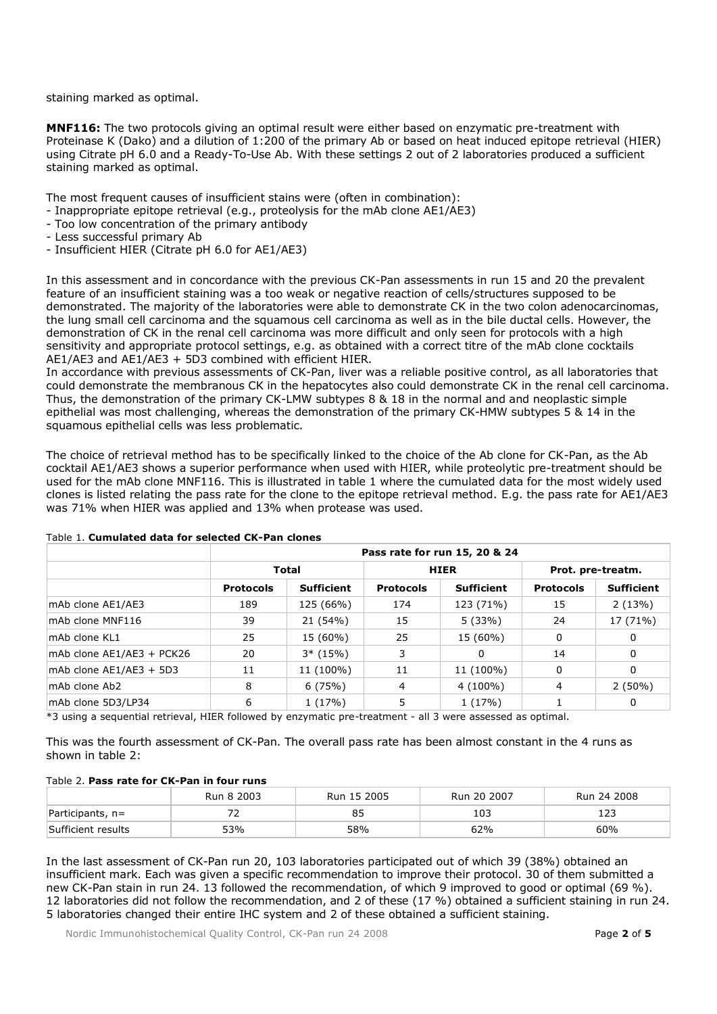staining marked as optimal.

**MNF116:** The two protocols giving an optimal result were either based on enzymatic pre-treatment with Proteinase K (Dako) and a dilution of 1:200 of the primary Ab or based on heat induced epitope retrieval (HIER) using Citrate pH 6.0 and a Ready-To-Use Ab. With these settings 2 out of 2 laboratories produced a sufficient staining marked as optimal.

The most frequent causes of insufficient stains were (often in combination):

- Inappropriate epitope retrieval (e.g., proteolysis for the mAb clone AE1/AE3)
- Too low concentration of the primary antibody
- Less successful primary Ab
- Insufficient HIER (Citrate pH 6.0 for AE1/AE3)

In this assessment and in concordance with the previous CK-Pan assessments in run 15 and 20 the prevalent feature of an insufficient staining was a too weak or negative reaction of cells/structures supposed to be demonstrated. The majority of the laboratories were able to demonstrate CK in the two colon adenocarcinomas, the lung small cell carcinoma and the squamous cell carcinoma as well as in the bile ductal cells. However, the demonstration of CK in the renal cell carcinoma was more difficult and only seen for protocols with a high sensitivity and appropriate protocol settings, e.g. as obtained with a correct titre of the mAb clone cocktails AE1/AE3 and AE1/AE3 + 5D3 combined with efficient HIER.

In accordance with previous assessments of CK-Pan, liver was a reliable positive control, as all laboratories that could demonstrate the membranous CK in the hepatocytes also could demonstrate CK in the renal cell carcinoma. Thus, the demonstration of the primary CK-LMW subtypes 8 & 18 in the normal and and neoplastic simple epithelial was most challenging, whereas the demonstration of the primary CK-HMW subtypes 5 & 14 in the squamous epithelial cells was less problematic.

The choice of retrieval method has to be specifically linked to the choice of the Ab clone for CK-Pan, as the Ab cocktail AE1/AE3 shows a superior performance when used with HIER, while proteolytic pre-treatment should be used for the mAb clone MNF116. This is illustrated in table 1 where the cumulated data for the most widely used clones is listed relating the pass rate for the clone to the epitope retrieval method. E.g. the pass rate for AE1/AE3 was 71% when HIER was applied and 13% when protease was used.

|                           | Pass rate for run 15, 20 & 24 |                   |                  |                   |                   |                   |  |
|---------------------------|-------------------------------|-------------------|------------------|-------------------|-------------------|-------------------|--|
|                           | <b>Total</b>                  |                   | <b>HIER</b>      |                   | Prot. pre-treatm. |                   |  |
|                           | <b>Protocols</b>              | <b>Sufficient</b> | <b>Protocols</b> | <b>Sufficient</b> | <b>Protocols</b>  | <b>Sufficient</b> |  |
| mAb clone AE1/AE3         | 189                           | 125 (66%)         | 174              | 123 (71%)         | 15                | 2(13%)            |  |
| mAb clone MNF116          | 39                            | 21 (54%)          | 15               | 5(33%)            | 24                | 17 (71%)          |  |
| $ mAb $ clone $KL1$       | 25                            | 15 (60%)          | 25               | 15 (60%)          | 0                 | 0                 |  |
| mAb clone AE1/AE3 + PCK26 | 20                            | $3*$ (15%)        | 3                | 0                 | 14                | 0                 |  |
| mAb clone AE1/AE3 + 5D3   | 11                            | 11 (100%)         | 11               | 11 (100%)         | 0                 | 0                 |  |
| lmAb clone Ab2            | 8                             | 6(75%)            | 4                | $4(100\%)$        | 4                 | $2(50\%)$         |  |
| mAb clone 5D3/LP34        | 6                             | 1(17%)            | 5                | 1(17%)            |                   | 0                 |  |

## Table 1. **Cumulated data for selected CK-Pan clones**

\*3 using a sequential retrieval, HIER followed by enzymatic pre-treatment - all 3 were assessed as optimal.

This was the fourth assessment of CK-Pan. The overall pass rate has been almost constant in the 4 runs as shown in table 2:

## Table 2. **Pass rate for CK-Pan in four runs**

|                    | Run 8 2003 | Run 15 2005 | Run 20 2007 | Run 24 2008 |
|--------------------|------------|-------------|-------------|-------------|
| $Participants, n=$ |            |             | 103         |             |
| Sufficient results | 53%        | 58%         | 62%         | 60%         |

In the last assessment of CK-Pan run 20, 103 laboratories participated out of which 39 (38%) obtained an insufficient mark. Each was given a specific recommendation to improve their protocol. 30 of them submitted a new CK-Pan stain in run 24. 13 followed the recommendation, of which 9 improved to good or optimal (69 %). 12 laboratories did not follow the recommendation, and 2 of these (17 %) obtained a sufficient staining in run 24. 5 laboratories changed their entire IHC system and 2 of these obtained a sufficient staining.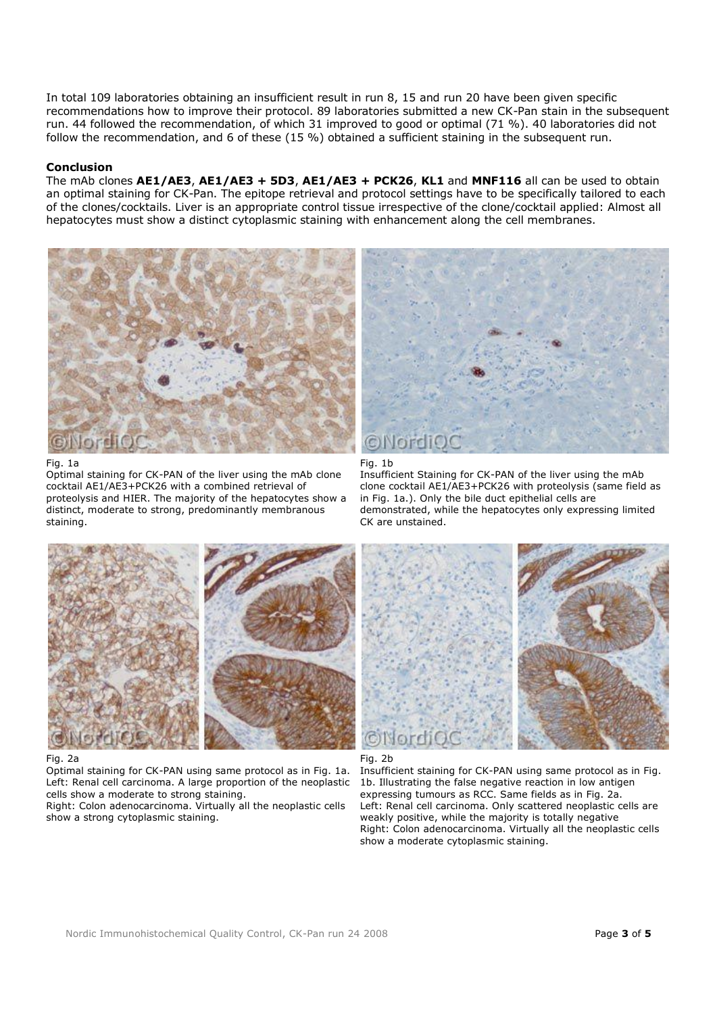In total 109 laboratories obtaining an insufficient result in run 8, 15 and run 20 have been given specific recommendations how to improve their protocol. 89 laboratories submitted a new CK-Pan stain in the subsequent run. 44 followed the recommendation, of which 31 improved to good or optimal (71 %). 40 laboratories did not follow the recommendation, and 6 of these (15 %) obtained a sufficient staining in the subsequent run.

### **Conclusion**

The mAb clones **AE1/AE3**, **AE1/AE3 + 5D3**, **AE1/AE3 + PCK26**, **KL1** and **MNF116** all can be used to obtain an optimal staining for CK-Pan. The epitope retrieval and protocol settings have to be specifically tailored to each of the clones/cocktails. Liver is an appropriate control tissue irrespective of the clone/cocktail applied: Almost all hepatocytes must show a distinct cytoplasmic staining with enhancement along the cell membranes.



Fig. 1a

Optimal staining for CK-PAN of the liver using the mAb clone cocktail AE1/AE3+PCK26 with a combined retrieval of proteolysis and HIER. The majority of the hepatocytes show a distinct, moderate to strong, predominantly membranous staining.



Fig. 1b

Insufficient Staining for CK-PAN of the liver using the mAb clone cocktail AE1/AE3+PCK26 with proteolysis (same field as in Fig. 1a.). Only the bile duct epithelial cells are demonstrated, while the hepatocytes only expressing limited CK are unstained.





Optimal staining for CK-PAN using same protocol as in Fig. 1a. Left: Renal cell carcinoma. A large proportion of the neoplastic cells show a moderate to strong staining.

Right: Colon adenocarcinoma. Virtually all the neoplastic cells show a strong cytoplasmic staining.





Insufficient staining for CK-PAN using same protocol as in Fig. 1b. Illustrating the false negative reaction in low antigen expressing tumours as RCC. Same fields as in Fig. 2a. Left: Renal cell carcinoma. Only scattered neoplastic cells are weakly positive, while the majority is totally negative Right: Colon adenocarcinoma. Virtually all the neoplastic cells show a moderate cytoplasmic staining.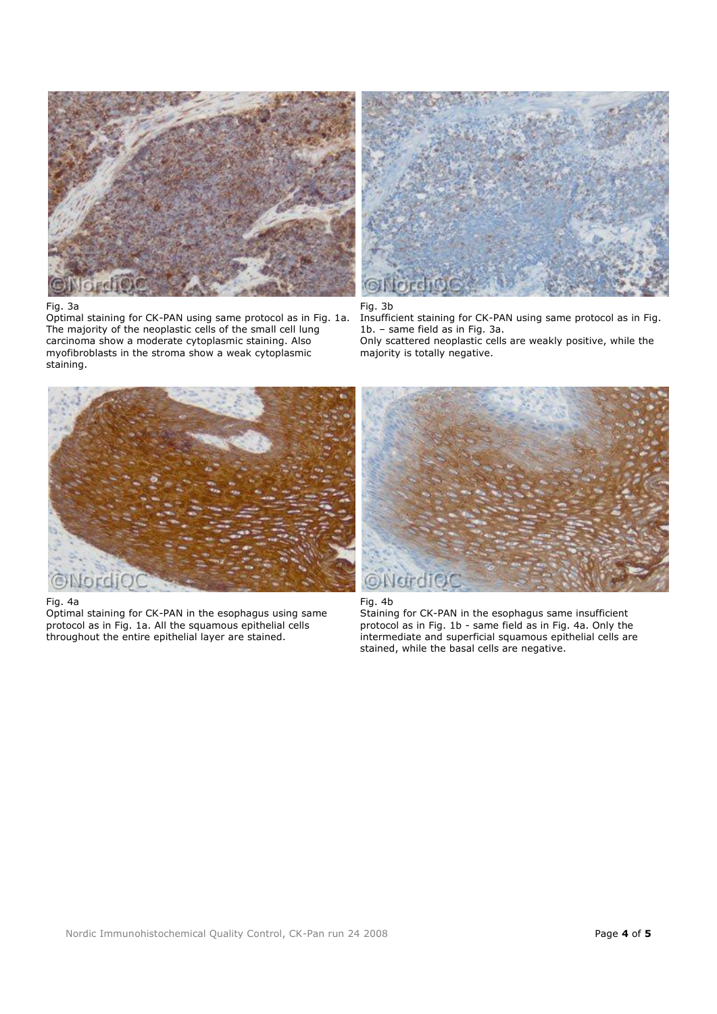

### Fig. 3a

Optimal staining for CK-PAN using same protocol as in Fig. 1a. The majority of the neoplastic cells of the small cell lung carcinoma show a moderate cytoplasmic staining. Also myofibroblasts in the stroma show a weak cytoplasmic staining.



Fig. 3b Insufficient staining for CK-PAN using same protocol as in Fig. 1b. – same field as in Fig. 3a. Only scattered neoplastic cells are weakly positive, while the majority is totally negative.



#### Fig. 4a

Optimal staining for CK-PAN in the esophagus using same protocol as in Fig. 1a. All the squamous epithelial cells throughout the entire epithelial layer are stained.





Staining for CK-PAN in the esophagus same insufficient protocol as in Fig. 1b - same field as in Fig. 4a. Only the intermediate and superficial squamous epithelial cells are stained, while the basal cells are negative.